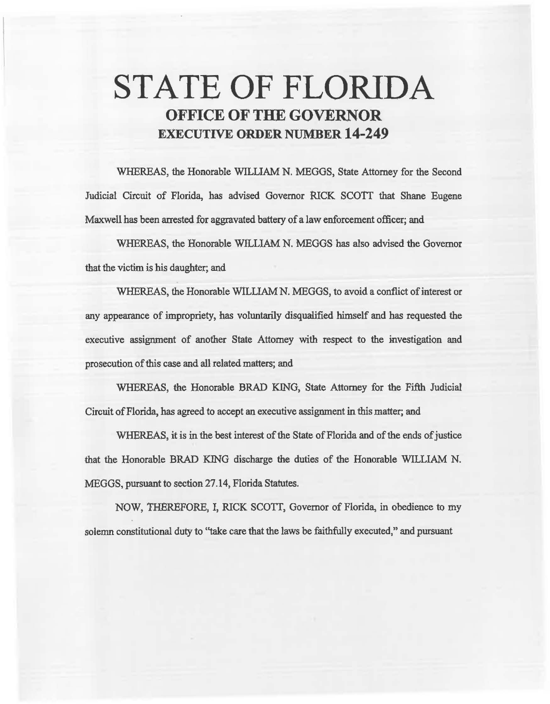# STATE OF FLORIDA OFFICE OF THE GOVERNOR EXECUTIVE ORDER NUMBER 14-249

WHEREAS, the Honorable WILLIAM N. MEGGS, State Attorney for the Second Judicial Circuit of Florida, has advised Governor RICK SCOTT that Shane Eugene Maxwell has been arrested for aggravated battery of a law enforcement officer; and

WHEREAS, the Honorable WILLIAM N. MEGGS has also advised the Governor that the victim is bis daughter; and

WHEREAS, the Honorable WILLIAM N. MEGGS, to avoid a conflict of interest or any appearance of impropriety, has voluntarily disqualified himself and has requested the executive assignment of another State Attorney with respect to the investigation and prosecution of this case and all related matters; and

WHEREAS, the Honorable BRAD KING, State Attorney for the Fifth Judicial Circuit of Florida, has agreed to accept an executive assignment in this matter; and

WHEREAS, it is in the best interest of the State of Florida and of the ends of justice that the Honorable BRAD KING discharge the duties of the Honorable WILLIAM N. MEGGS, pursuant to section 27 .14, Florida Statutes.

NOW, THEREFORE, I, RICK SCOTI, Governor of Florida, in obedience to my solemn constitutional duty to ''take care that the laws be faithfully executed," and pursuant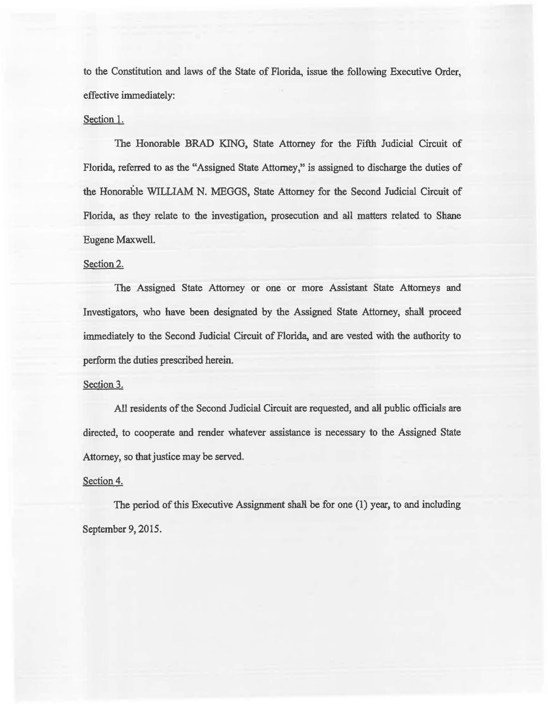to the Constitution and laws of the State of Florida, issue the following Executive Order, effective immediately:

## Section I.

The Honorable BRAD KING, State Attorney for the Fifth Judicial Circuit of Florida, referred to as the "Assigned State Attorney," is assigned to discharge the duties of the Honorable WILLIAM N. MEGGS, State Attomey for the Second Judicial Circuit of Florida, as they relate to the investigation, prosecution and all matters related to Shane Eugene Maxwell.

#### Section 2.

The Assigned State Attorney or one or more Assistant State Attorneys and Investigators, who have been designated by the Assigned State Attorney, shalt proceed immediately to the Second Judicial Circuit of Florida, and are vested with the authority to perform the duties prescribed herein.

# Section 3.

All residents of the Second Judicial Circuit are requested, and all public officials are directed, to cooperate and render whatever assistance is necessary to the Assigned State Attorney, so that justice may be served.

## Section 4.

The period of this Executive Assignment shall be for one  $(1)$  year, to and including September 9, 2015.